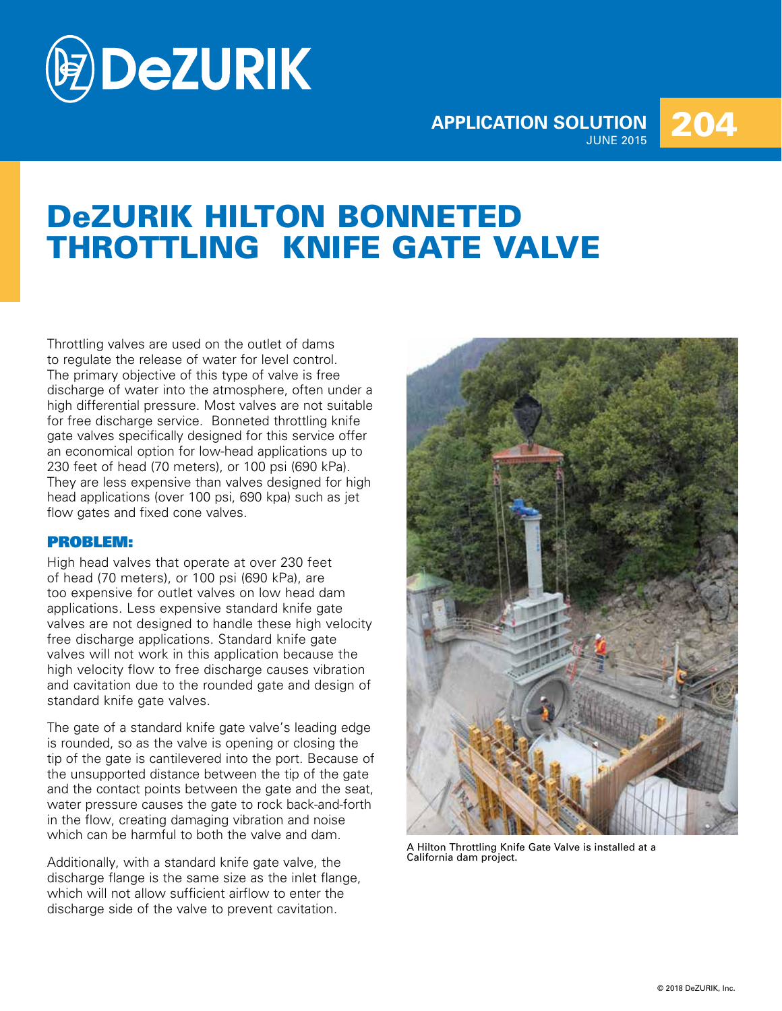

## **APPLICATION SOLUTION**  204

# DeZURIK HILTON BONNETED THROTTLING KNIFE GATE VALVE

Throttling valves are used on the outlet of dams to regulate the release of water for level control. The primary objective of this type of valve is free discharge of water into the atmosphere, often under a high differential pressure. Most valves are not suitable for free discharge service. Bonneted throttling knife gate valves specifically designed for this service offer an economical option for low-head applications up to 230 feet of head (70 meters), or 100 psi (690 kPa). They are less expensive than valves designed for high head applications (over 100 psi, 690 kpa) such as jet flow gates and fixed cone valves.

### PROBLEM:

High head valves that operate at over 230 feet of head (70 meters), or 100 psi (690 kPa), are too expensive for outlet valves on low head dam applications. Less expensive standard knife gate valves are not designed to handle these high velocity free discharge applications. Standard knife gate valves will not work in this application because the high velocity flow to free discharge causes vibration and cavitation due to the rounded gate and design of standard knife gate valves.

The gate of a standard knife gate valve's leading edge is rounded, so as the valve is opening or closing the tip of the gate is cantilevered into the port. Because of the unsupported distance between the tip of the gate and the contact points between the gate and the seat, water pressure causes the gate to rock back-and-forth in the flow, creating damaging vibration and noise which can be harmful to both the valve and dam.

Additionally, with a standard knife gate valve, the discharge flange is the same size as the inlet flange, which will not allow sufficient airflow to enter the discharge side of the valve to prevent cavitation.



A Hilton Throttling Knife Gate Valve is installed at a California dam project.